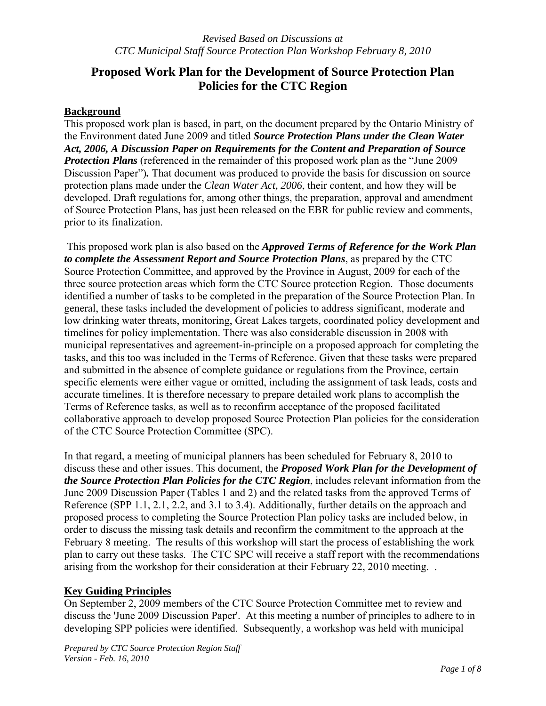# **Proposed Work Plan for the Development of Source Protection Plan Policies for the CTC Region**

### **Background**

This proposed work plan is based, in part, on the document prepared by the Ontario Ministry of the Environment dated June 2009 and titled *Source Protection Plans under the Clean Water Act, 2006, A Discussion Paper on Requirements for the Content and Preparation of Source*  **Protection Plans** (referenced in the remainder of this proposed work plan as the "June 2009 Discussion Paper")*.* That document was produced to provide the basis for discussion on source protection plans made under the *Clean Water Act, 2006*, their content, and how they will be developed. Draft regulations for, among other things, the preparation, approval and amendment of Source Protection Plans, has just been released on the EBR for public review and comments, prior to its finalization.

This proposed work plan is also based on the *Approved Terms of Reference for the Work Plan to complete the Assessment Report and Source Protection Plans*, as prepared by the CTC Source Protection Committee, and approved by the Province in August, 2009 for each of the three source protection areas which form the CTC Source protection Region. Those documents identified a number of tasks to be completed in the preparation of the Source Protection Plan. In general, these tasks included the development of policies to address significant, moderate and low drinking water threats, monitoring, Great Lakes targets, coordinated policy development and timelines for policy implementation. There was also considerable discussion in 2008 with municipal representatives and agreement-in-principle on a proposed approach for completing the tasks, and this too was included in the Terms of Reference. Given that these tasks were prepared and submitted in the absence of complete guidance or regulations from the Province, certain specific elements were either vague or omitted, including the assignment of task leads, costs and accurate timelines. It is therefore necessary to prepare detailed work plans to accomplish the Terms of Reference tasks, as well as to reconfirm acceptance of the proposed facilitated collaborative approach to develop proposed Source Protection Plan policies for the consideration of the CTC Source Protection Committee (SPC).

In that regard, a meeting of municipal planners has been scheduled for February 8, 2010 to discuss these and other issues. This document, the *Proposed Work Plan for the Development of the Source Protection Plan Policies for the CTC Region*, includes relevant information from the June 2009 Discussion Paper (Tables 1 and 2) and the related tasks from the approved Terms of Reference (SPP 1.1, 2.1, 2.2, and 3.1 to 3.4). Additionally, further details on the approach and proposed process to completing the Source Protection Plan policy tasks are included below, in order to discuss the missing task details and reconfirm the commitment to the approach at the February 8 meeting. The results of this workshop will start the process of establishing the work plan to carry out these tasks. The CTC SPC will receive a staff report with the recommendations arising from the workshop for their consideration at their February 22, 2010 meeting. .

#### **Key Guiding Principles**

On September 2, 2009 members of the CTC Source Protection Committee met to review and discuss the 'June 2009 Discussion Paper'. At this meeting a number of principles to adhere to in developing SPP policies were identified. Subsequently, a workshop was held with municipal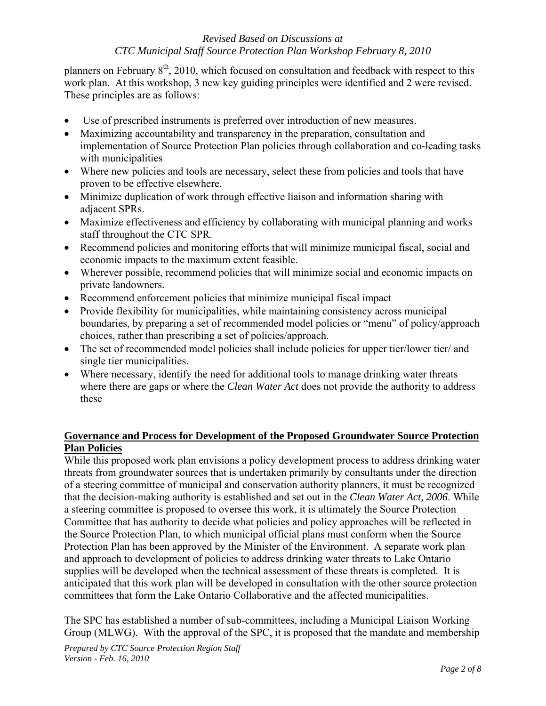planners on February  $8<sup>th</sup>$ , 2010, which focused on consultation and feedback with respect to this work plan. At this workshop, 3 new key guiding principles were identified and 2 were revised. These principles are as follows:

- Use of prescribed instruments is preferred over introduction of new measures.
- Maximizing accountability and transparency in the preparation, consultation and implementation of Source Protection Plan policies through collaboration and co-leading tasks with municipalities
- Where new policies and tools are necessary, select these from policies and tools that have proven to be effective elsewhere.
- Minimize duplication of work through effective liaison and information sharing with adjacent SPRs.
- Maximize effectiveness and efficiency by collaborating with municipal planning and works staff throughout the CTC SPR.
- Recommend policies and monitoring efforts that will minimize municipal fiscal, social and economic impacts to the maximum extent feasible.
- Wherever possible, recommend policies that will minimize social and economic impacts on private landowners.
- Recommend enforcement policies that minimize municipal fiscal impact
- Provide flexibility for municipalities, while maintaining consistency across municipal boundaries, by preparing a set of recommended model policies or "menu" of policy/approach choices, rather than prescribing a set of policies/approach.
- The set of recommended model policies shall include policies for upper tier/lower tier/ and single tier municipalities.
- Where necessary, identify the need for additional tools to manage drinking water threats where there are gaps or where the *Clean Water Act* does not provide the authority to address these

## **Governance and Process for Development of the Proposed Groundwater Source Protection Plan Policies**

While this proposed work plan envisions a policy development process to address drinking water threats from groundwater sources that is undertaken primarily by consultants under the direction of a steering committee of municipal and conservation authority planners, it must be recognized that the decision-making authority is established and set out in the *Clean Water Act, 2006*. While a steering committee is proposed to oversee this work, it is ultimately the Source Protection Committee that has authority to decide what policies and policy approaches will be reflected in the Source Protection Plan, to which municipal official plans must conform when the Source Protection Plan has been approved by the Minister of the Environment. A separate work plan and approach to development of policies to address drinking water threats to Lake Ontario supplies will be developed when the technical assessment of these threats is completed. It is anticipated that this work plan will be developed in consultation with the other source protection committees that form the Lake Ontario Collaborative and the affected municipalities.

The SPC has established a number of sub-committees, including a Municipal Liaison Working Group (MLWG). With the approval of the SPC, it is proposed that the mandate and membership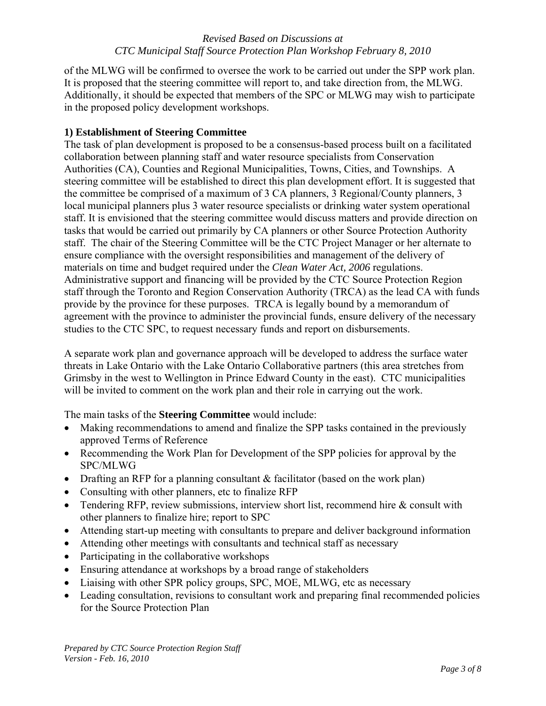of the MLWG will be confirmed to oversee the work to be carried out under the SPP work plan. It is proposed that the steering committee will report to, and take direction from, the MLWG. Additionally, it should be expected that members of the SPC or MLWG may wish to participate in the proposed policy development workshops.

## **1) Establishment of Steering Committee**

The task of plan development is proposed to be a consensus-based process built on a facilitated collaboration between planning staff and water resource specialists from Conservation Authorities (CA), Counties and Regional Municipalities, Towns, Cities, and Townships. A steering committee will be established to direct this plan development effort. It is suggested that the committee be comprised of a maximum of 3 CA planners, 3 Regional/County planners, 3 local municipal planners plus 3 water resource specialists or drinking water system operational staff. It is envisioned that the steering committee would discuss matters and provide direction on tasks that would be carried out primarily by CA planners or other Source Protection Authority staff. The chair of the Steering Committee will be the CTC Project Manager or her alternate to ensure compliance with the oversight responsibilities and management of the delivery of materials on time and budget required under the *Clean Water Act, 2006* regulations. Administrative support and financing will be provided by the CTC Source Protection Region staff through the Toronto and Region Conservation Authority (TRCA) as the lead CA with funds provide by the province for these purposes. TRCA is legally bound by a memorandum of agreement with the province to administer the provincial funds, ensure delivery of the necessary studies to the CTC SPC, to request necessary funds and report on disbursements.

A separate work plan and governance approach will be developed to address the surface water threats in Lake Ontario with the Lake Ontario Collaborative partners (this area stretches from Grimsby in the west to Wellington in Prince Edward County in the east). CTC municipalities will be invited to comment on the work plan and their role in carrying out the work.

The main tasks of the **Steering Committee** would include:

- Making recommendations to amend and finalize the SPP tasks contained in the previously approved Terms of Reference
- Recommending the Work Plan for Development of the SPP policies for approval by the SPC/MLWG
- Drafting an RFP for a planning consultant & facilitator (based on the work plan)
- Consulting with other planners, etc to finalize RFP
- Tendering RFP, review submissions, interview short list, recommend hire & consult with other planners to finalize hire; report to SPC
- Attending start-up meeting with consultants to prepare and deliver background information
- Attending other meetings with consultants and technical staff as necessary
- Participating in the collaborative workshops
- Ensuring attendance at workshops by a broad range of stakeholders
- Liaising with other SPR policy groups, SPC, MOE, MLWG, etc as necessary
- Leading consultation, revisions to consultant work and preparing final recommended policies for the Source Protection Plan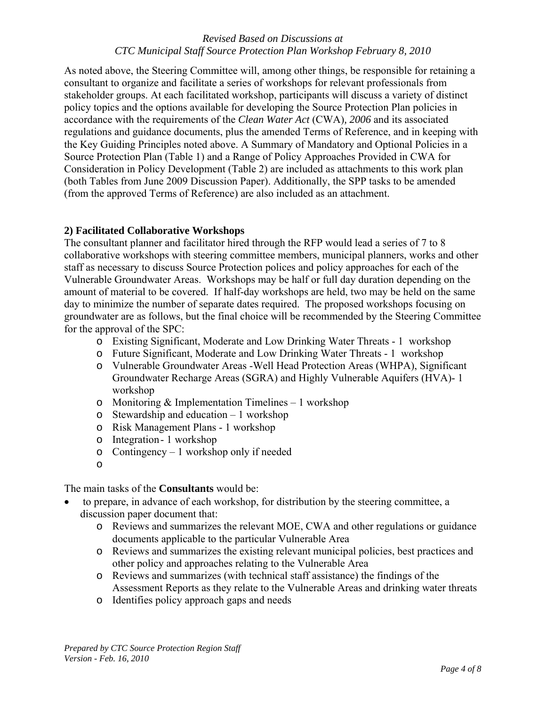As noted above, the Steering Committee will, among other things, be responsible for retaining a consultant to organize and facilitate a series of workshops for relevant professionals from stakeholder groups. At each facilitated workshop, participants will discuss a variety of distinct policy topics and the options available for developing the Source Protection Plan policies in accordance with the requirements of the *Clean Water Act* (CWA)*, 2006* and its associated regulations and guidance documents, plus the amended Terms of Reference, and in keeping with the Key Guiding Principles noted above. A Summary of Mandatory and Optional Policies in a Source Protection Plan (Table 1) and a Range of Policy Approaches Provided in CWA for Consideration in Policy Development (Table 2) are included as attachments to this work plan (both Tables from June 2009 Discussion Paper). Additionally, the SPP tasks to be amended (from the approved Terms of Reference) are also included as an attachment.

### **2) Facilitated Collaborative Workshops**

The consultant planner and facilitator hired through the RFP would lead a series of 7 to 8 collaborative workshops with steering committee members, municipal planners, works and other staff as necessary to discuss Source Protection polices and policy approaches for each of the Vulnerable Groundwater Areas. Workshops may be half or full day duration depending on the amount of material to be covered. If half-day workshops are held, two may be held on the same day to minimize the number of separate dates required. The proposed workshops focusing on groundwater are as follows, but the final choice will be recommended by the Steering Committee for the approval of the SPC:

- o Existing Significant, Moderate and Low Drinking Water Threats 1 workshop
- o Future Significant, Moderate and Low Drinking Water Threats 1 workshop
- o Vulnerable Groundwater Areas -Well Head Protection Areas (WHPA), Significant Groundwater Recharge Areas (SGRA) and Highly Vulnerable Aquifers (HVA)- 1 workshop
- o Monitoring & Implementation Timelines 1 workshop
- o Stewardship and education 1 workshop
- o Risk Management Plans 1 workshop
- o Integration 1 workshop
- o Contingency 1 workshop only if needed
- o

The main tasks of the **Consultants** would be:

- to prepare, in advance of each workshop, for distribution by the steering committee, a discussion paper document that:
	- o Reviews and summarizes the relevant MOE, CWA and other regulations or guidance documents applicable to the particular Vulnerable Area
	- o Reviews and summarizes the existing relevant municipal policies, best practices and other policy and approaches relating to the Vulnerable Area
	- o Reviews and summarizes (with technical staff assistance) the findings of the Assessment Reports as they relate to the Vulnerable Areas and drinking water threats
	- o Identifies policy approach gaps and needs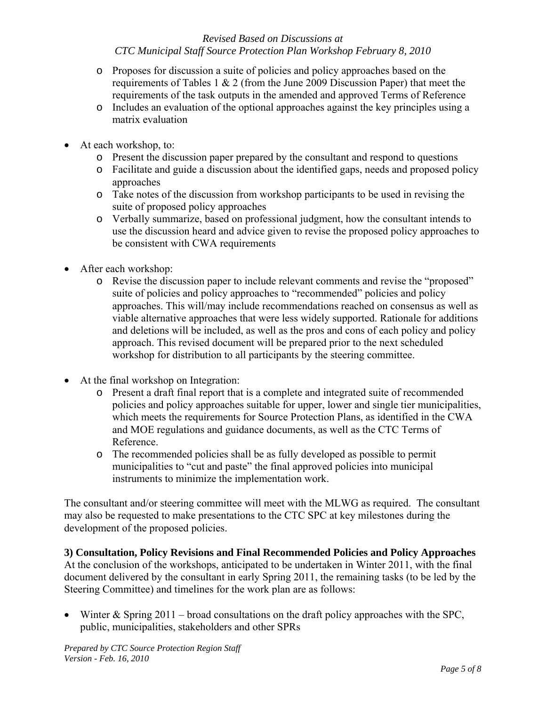- o Proposes for discussion a suite of policies and policy approaches based on the requirements of Tables 1 & 2 (from the June 2009 Discussion Paper) that meet the requirements of the task outputs in the amended and approved Terms of Reference
- o Includes an evaluation of the optional approaches against the key principles using a matrix evaluation
- At each workshop, to:
	- o Present the discussion paper prepared by the consultant and respond to questions
	- o Facilitate and guide a discussion about the identified gaps, needs and proposed policy approaches
	- o Take notes of the discussion from workshop participants to be used in revising the suite of proposed policy approaches
	- o Verbally summarize, based on professional judgment, how the consultant intends to use the discussion heard and advice given to revise the proposed policy approaches to be consistent with CWA requirements
- After each workshop:
	- o Revise the discussion paper to include relevant comments and revise the "proposed" suite of policies and policy approaches to "recommended" policies and policy approaches. This will/may include recommendations reached on consensus as well as viable alternative approaches that were less widely supported. Rationale for additions and deletions will be included, as well as the pros and cons of each policy and policy approach. This revised document will be prepared prior to the next scheduled workshop for distribution to all participants by the steering committee.
- At the final workshop on Integration:
	- o Present a draft final report that is a complete and integrated suite of recommended policies and policy approaches suitable for upper, lower and single tier municipalities, which meets the requirements for Source Protection Plans, as identified in the CWA and MOE regulations and guidance documents, as well as the CTC Terms of Reference.
	- o The recommended policies shall be as fully developed as possible to permit municipalities to "cut and paste" the final approved policies into municipal instruments to minimize the implementation work.

The consultant and/or steering committee will meet with the MLWG as required. The consultant may also be requested to make presentations to the CTC SPC at key milestones during the development of the proposed policies.

**3) Consultation, Policy Revisions and Final Recommended Policies and Policy Approaches** At the conclusion of the workshops, anticipated to be undertaken in Winter 2011, with the final document delivered by the consultant in early Spring 2011, the remaining tasks (to be led by the Steering Committee) and timelines for the work plan are as follows:

• Winter & Spring 2011 – broad consultations on the draft policy approaches with the SPC, public, municipalities, stakeholders and other SPRs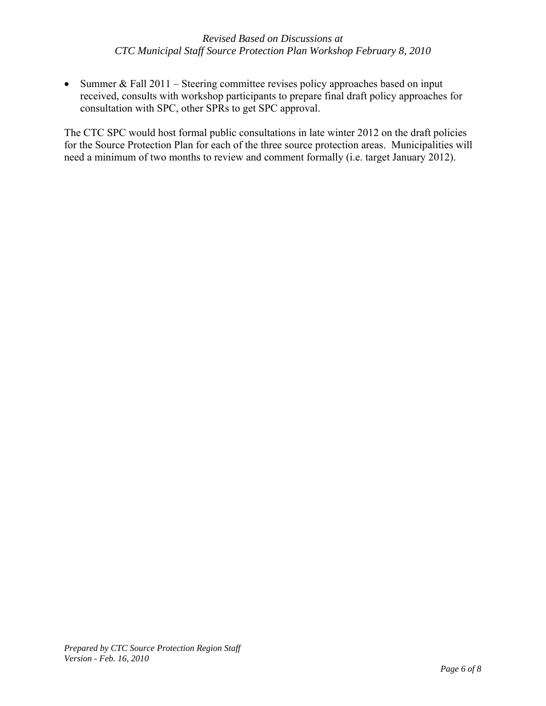• Summer & Fall  $2011$  – Steering committee revises policy approaches based on input received, consults with workshop participants to prepare final draft policy approaches for consultation with SPC, other SPRs to get SPC approval.

The CTC SPC would host formal public consultations in late winter 2012 on the draft policies for the Source Protection Plan for each of the three source protection areas. Municipalities will need a minimum of two months to review and comment formally (i.e. target January 2012).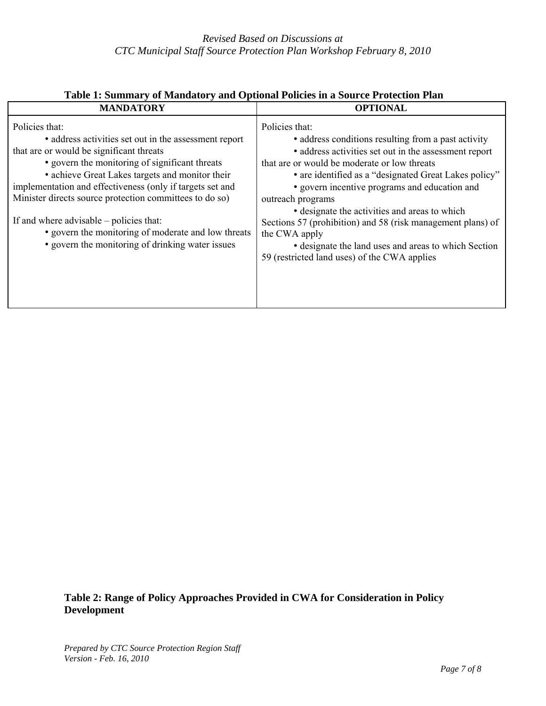| Table 1: Summary of Mandatory and Optional Policies in a Source Protection Plan                                                                                                                                                                                                                                                                                                                                                                                                                        |                                                                                                                                                                                                                                                                                                                                                                                                                                                                                                                                                        |  |  |  |  |  |
|--------------------------------------------------------------------------------------------------------------------------------------------------------------------------------------------------------------------------------------------------------------------------------------------------------------------------------------------------------------------------------------------------------------------------------------------------------------------------------------------------------|--------------------------------------------------------------------------------------------------------------------------------------------------------------------------------------------------------------------------------------------------------------------------------------------------------------------------------------------------------------------------------------------------------------------------------------------------------------------------------------------------------------------------------------------------------|--|--|--|--|--|
| <b>MANDATORY</b>                                                                                                                                                                                                                                                                                                                                                                                                                                                                                       | <b>OPTIONAL</b>                                                                                                                                                                                                                                                                                                                                                                                                                                                                                                                                        |  |  |  |  |  |
| Policies that:<br>• address activities set out in the assessment report<br>that are or would be significant threats<br>• govern the monitoring of significant threats<br>• achieve Great Lakes targets and monitor their<br>implementation and effectiveness (only if targets set and<br>Minister directs source protection committees to do so)<br>If and where advisable – policies that:<br>• govern the monitoring of moderate and low threats<br>• govern the monitoring of drinking water issues | Policies that:<br>• address conditions resulting from a past activity<br>• address activities set out in the assessment report<br>that are or would be moderate or low threats<br>• are identified as a "designated Great Lakes policy"<br>• govern incentive programs and education and<br>outreach programs<br>• designate the activities and areas to which<br>Sections 57 (prohibition) and 58 (risk management plans) of<br>the CWA apply<br>• designate the land uses and areas to which Section<br>59 (restricted land uses) of the CWA applies |  |  |  |  |  |

# **Table 1: Summary of Mandatory and Optional Policies in a Source Protection Plan**

# **Table 2: Range of Policy Approaches Provided in CWA for Consideration in Policy Development**